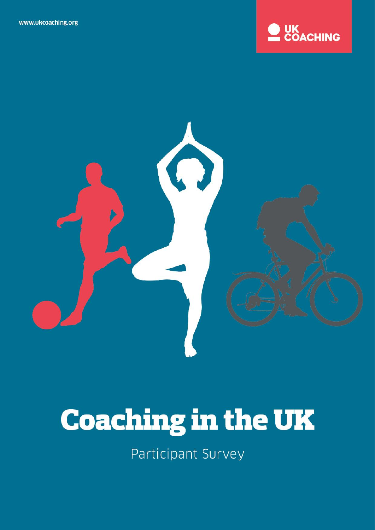



# **Coaching in the UK**

Participant Survey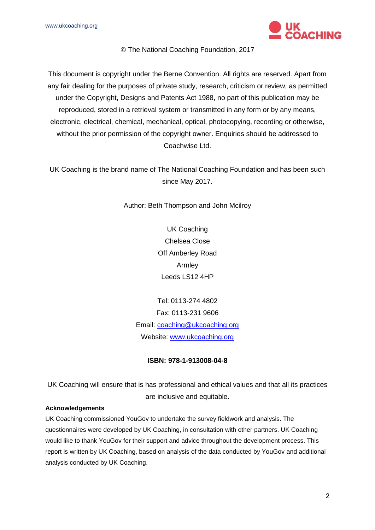www.ukcoaching.org



The National Coaching Foundation, 2017

This document is copyright under the Berne Convention. All rights are reserved. Apart from any fair dealing for the purposes of private study, research, criticism or review, as permitted under the Copyright, Designs and Patents Act 1988, no part of this publication may be reproduced, stored in a retrieval system or transmitted in any form or by any means, electronic, electrical, chemical, mechanical, optical, photocopying, recording or otherwise, without the prior permission of the copyright owner. Enquiries should be addressed to Coachwise Ltd.

UK Coaching is the brand name of The National Coaching Foundation and has been such since May 2017.

Author: Beth Thompson and John Mcilroy

UK Coaching Chelsea Close Off Amberley Road Armley Leeds LS12 4HP

Tel: 0113-274 4802 Fax: 0113-231 9606 Email: [coaching@ukcoaching.org](mailto:coaching@ukcoaching.org) Website: [www.ukcoaching.org](http://www.ukcoaching.org/)

#### **ISBN: 978-1-913008-04-8**

UK Coaching will ensure that is has professional and ethical values and that all its practices are inclusive and equitable.

#### **Acknowledgements**

UK Coaching commissioned YouGov to undertake the survey fieldwork and analysis. The questionnaires were developed by UK Coaching, in consultation with other partners. UK Coaching would like to thank YouGov for their support and advice throughout the development process. This report is written by UK Coaching, based on analysis of the data conducted by YouGov and additional analysis conducted by UK Coaching.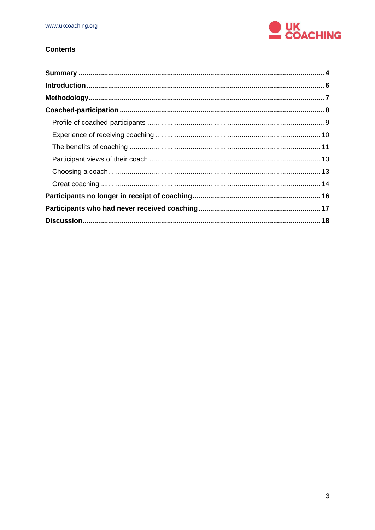

## **Contents**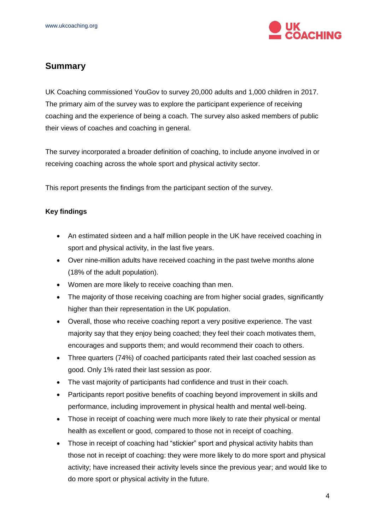

# <span id="page-3-0"></span>**Summary**

UK Coaching commissioned YouGov to survey 20,000 adults and 1,000 children in 2017. The primary aim of the survey was to explore the participant experience of receiving coaching and the experience of being a coach. The survey also asked members of public their views of coaches and coaching in general.

The survey incorporated a broader definition of coaching, to include anyone involved in or receiving coaching across the whole sport and physical activity sector.

This report presents the findings from the participant section of the survey.

### **Key findings**

- An estimated sixteen and a half million people in the UK have received coaching in sport and physical activity, in the last five years.
- Over nine-million adults have received coaching in the past twelve months alone (18% of the adult population).
- Women are more likely to receive coaching than men.
- The majority of those receiving coaching are from higher social grades, significantly higher than their representation in the UK population.
- Overall, those who receive coaching report a very positive experience. The vast majority say that they enjoy being coached; they feel their coach motivates them, encourages and supports them; and would recommend their coach to others.
- Three quarters (74%) of coached participants rated their last coached session as good. Only 1% rated their last session as poor.
- The vast majority of participants had confidence and trust in their coach.
- Participants report positive benefits of coaching beyond improvement in skills and performance, including improvement in physical health and mental well-being.
- Those in receipt of coaching were much more likely to rate their physical or mental health as excellent or good, compared to those not in receipt of coaching.
- Those in receipt of coaching had "stickier" sport and physical activity habits than those not in receipt of coaching: they were more likely to do more sport and physical activity; have increased their activity levels since the previous year; and would like to do more sport or physical activity in the future.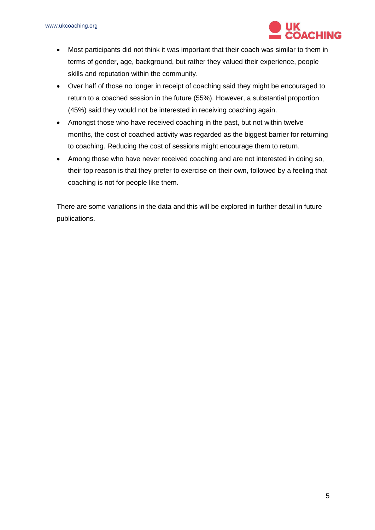

- Most participants did not think it was important that their coach was similar to them in terms of gender, age, background, but rather they valued their experience, people skills and reputation within the community.
- Over half of those no longer in receipt of coaching said they might be encouraged to return to a coached session in the future (55%). However, a substantial proportion (45%) said they would not be interested in receiving coaching again.
- Amongst those who have received coaching in the past, but not within twelve months, the cost of coached activity was regarded as the biggest barrier for returning to coaching. Reducing the cost of sessions might encourage them to return.
- Among those who have never received coaching and are not interested in doing so, their top reason is that they prefer to exercise on their own, followed by a feeling that coaching is not for people like them.

There are some variations in the data and this will be explored in further detail in future publications.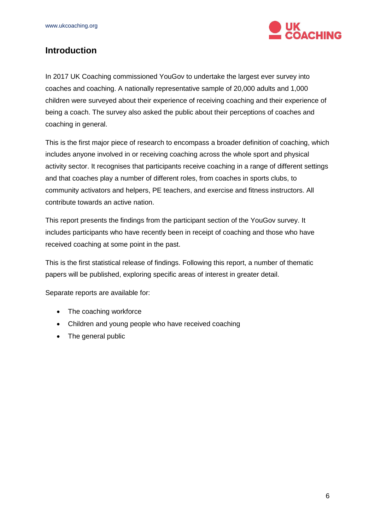

## <span id="page-5-0"></span>**Introduction**

In 2017 UK Coaching commissioned YouGov to undertake the largest ever survey into coaches and coaching. A nationally representative sample of 20,000 adults and 1,000 children were surveyed about their experience of receiving coaching and their experience of being a coach. The survey also asked the public about their perceptions of coaches and coaching in general.

This is the first major piece of research to encompass a broader definition of coaching, which includes anyone involved in or receiving coaching across the whole sport and physical activity sector. It recognises that participants receive coaching in a range of different settings and that coaches play a number of different roles, from coaches in sports clubs, to community activators and helpers, PE teachers, and exercise and fitness instructors. All contribute towards an active nation.

This report presents the findings from the participant section of the YouGov survey. It includes participants who have recently been in receipt of coaching and those who have received coaching at some point in the past.

This is the first statistical release of findings. Following this report, a number of thematic papers will be published, exploring specific areas of interest in greater detail.

Separate reports are available for:

- The coaching workforce
- Children and young people who have received coaching
- The general public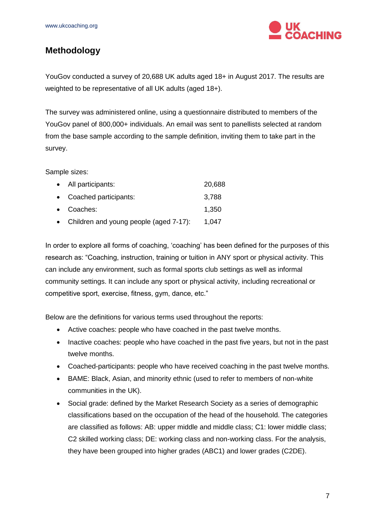

## <span id="page-6-0"></span>**Methodology**

YouGov conducted a survey of 20,688 UK adults aged 18+ in August 2017. The results are weighted to be representative of all UK adults (aged 18+).

The survey was administered online, using a questionnaire distributed to members of the YouGov panel of 800,000+ individuals. An email was sent to panellists selected at random from the base sample according to the sample definition, inviting them to take part in the survey.

Sample sizes:

| • All participants:                      | 20,688 |
|------------------------------------------|--------|
| • Coached participants:                  | 3,788  |
| • Coaches:                               | 1,350  |
| • Children and young people (aged 7-17): | 1,047  |

In order to explore all forms of coaching, 'coaching' has been defined for the purposes of this research as: "Coaching, instruction, training or tuition in ANY sport or physical activity. This can include any environment, such as formal sports club settings as well as informal community settings. It can include any sport or physical activity, including recreational or competitive sport, exercise, fitness, gym, dance, etc."

Below are the definitions for various terms used throughout the reports:

- Active coaches: people who have coached in the past twelve months.
- Inactive coaches: people who have coached in the past five years, but not in the past twelve months.
- Coached-participants: people who have received coaching in the past twelve months.
- BAME: Black, Asian, and minority ethnic (used to refer to members of non-white communities in the UK).
- Social grade: defined by the Market Research Society as a series of demographic classifications based on the occupation of the head of the household. The categories are classified as follows: AB: upper middle and middle class; C1: lower middle class; C2 skilled working class; DE: working class and non-working class. For the analysis, they have been grouped into higher grades (ABC1) and lower grades (C2DE).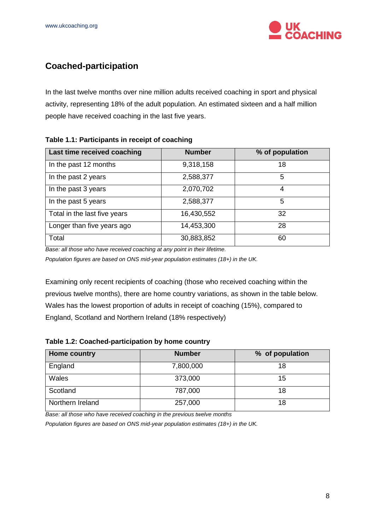

# <span id="page-7-0"></span>**Coached-participation**

In the last twelve months over nine million adults received coaching in sport and physical activity, representing 18% of the adult population. An estimated sixteen and a half million people have received coaching in the last five years.

#### **Table 1.1: Participants in receipt of coaching**

| Last time received coaching  | <b>Number</b> | % of population |
|------------------------------|---------------|-----------------|
| In the past 12 months        | 9,318,158     | 18              |
| In the past 2 years          | 2,588,377     | 5               |
| In the past 3 years          | 2,070,702     | 4               |
| In the past 5 years          | 2,588,377     | 5               |
| Total in the last five years | 16,430,552    | 32              |
| Longer than five years ago   | 14,453,300    | 28              |
| Total                        | 30,883,852    | 60              |

*Base: all those who have received coaching at any point in their lifetime.* 

*Population figures are based on ONS mid-year population estimates (18+) in the UK.*

Examining only recent recipients of coaching (those who received coaching within the previous twelve months), there are home country variations, as shown in the table below. Wales has the lowest proportion of adults in receipt of coaching (15%), compared to England, Scotland and Northern Ireland (18% respectively)

| <b>Home country</b> | <b>Number</b> | % of population |
|---------------------|---------------|-----------------|
| England             | 7,800,000     | 18              |
| Wales               | 373,000       | 15              |
| Scotland            | 787,000       | 18              |
| Northern Ireland    | 257,000       | 18              |

*Base: all those who have received coaching in the previous twelve months* 

*Population figures are based on ONS mid-year population estimates (18+) in the UK.*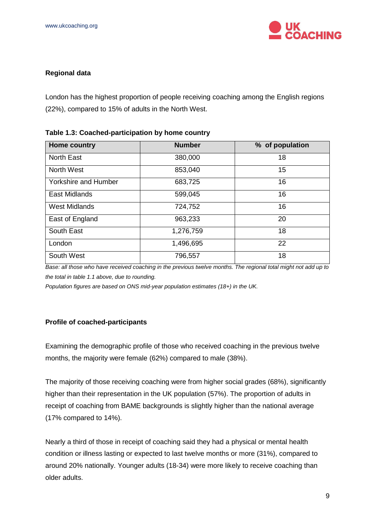

#### **Regional data**

London has the highest proportion of people receiving coaching among the English regions (22%), compared to 15% of adults in the North West.

| <b>Home country</b>         | <b>Number</b> | % of population |  |  |
|-----------------------------|---------------|-----------------|--|--|
| <b>North East</b>           | 380,000       | 18              |  |  |
| North West                  | 853,040       | 15              |  |  |
| <b>Yorkshire and Humber</b> | 683,725       | 16              |  |  |
| <b>East Midlands</b>        | 599,045       | 16              |  |  |
| <b>West Midlands</b>        | 724,752       | 16              |  |  |
| East of England             | 963,233       | 20              |  |  |
| South East                  | 1,276,759     | 18              |  |  |
| London                      | 1,496,695     | 22              |  |  |
| South West                  | 796,557       | 18              |  |  |

| Table 1.3: Coached-participation by home country |  |
|--------------------------------------------------|--|
|--------------------------------------------------|--|

*Base: all those who have received coaching in the previous twelve months. The regional total might not add up to the total in table 1.1 above, due to rounding.*

*Population figures are based on ONS mid-year population estimates (18+) in the UK.*

#### <span id="page-8-0"></span>**Profile of coached-participants**

Examining the demographic profile of those who received coaching in the previous twelve months, the majority were female (62%) compared to male (38%).

The majority of those receiving coaching were from higher social grades (68%), significantly higher than their representation in the UK population (57%). The proportion of adults in receipt of coaching from BAME backgrounds is slightly higher than the national average (17% compared to 14%).

Nearly a third of those in receipt of coaching said they had a physical or mental health condition or illness lasting or expected to last twelve months or more (31%), compared to around 20% nationally. Younger adults (18-34) were more likely to receive coaching than older adults.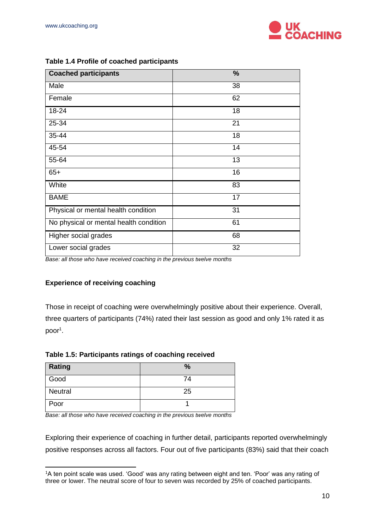

| <b>Coached participants</b>            | $\frac{9}{6}$ |
|----------------------------------------|---------------|
| Male                                   | 38            |
| Female                                 | 62            |
| 18-24                                  | 18            |
| 25-34                                  | 21            |
| 35-44                                  | 18            |
| 45-54                                  | 14            |
| 55-64                                  | 13            |
| $65+$                                  | 16            |
| White                                  | 83            |
| <b>BAME</b>                            | 17            |
| Physical or mental health condition    | 31            |
| No physical or mental health condition | 61            |
| Higher social grades                   | 68            |
| Lower social grades                    | 32            |

#### **Table 1.4 Profile of coached participants**

*Base: all those who have received coaching in the previous twelve months*

#### <span id="page-9-0"></span>**Experience of receiving coaching**

-

Those in receipt of coaching were overwhelmingly positive about their experience. Overall, three quarters of participants (74%) rated their last session as good and only 1% rated it as poor<sup>1</sup>.

#### **Table 1.5: Participants ratings of coaching received**

| Rating  | $\%$ |
|---------|------|
| Good    | 74   |
| Neutral | 25   |
| Poor    |      |

*Base: all those who have received coaching in the previous twelve months*

Exploring their experience of coaching in further detail, participants reported overwhelmingly positive responses across all factors. Four out of five participants (83%) said that their coach

<sup>1</sup>A ten point scale was used. 'Good' was any rating between eight and ten. 'Poor' was any rating of three or lower. The neutral score of four to seven was recorded by 25% of coached participants.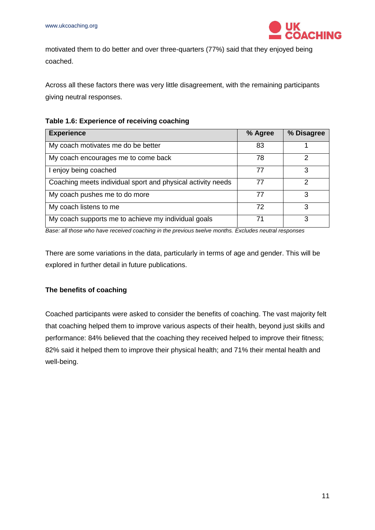

motivated them to do better and over three-quarters (77%) said that they enjoyed being coached.

Across all these factors there was very little disagreement, with the remaining participants giving neutral responses.

|  | Table 1.6: Experience of receiving coaching |  |  |
|--|---------------------------------------------|--|--|
|  |                                             |  |  |

| <b>Experience</b>                                           | % Agree | % Disagree |
|-------------------------------------------------------------|---------|------------|
| My coach motivates me do be better                          | 83      |            |
| My coach encourages me to come back                         | 78      | 2          |
| I enjoy being coached                                       | 77      | 3          |
| Coaching meets individual sport and physical activity needs | 77      | າ          |
| My coach pushes me to do more                               | 77      | 3          |
| My coach listens to me                                      | 72      | 3          |
| My coach supports me to achieve my individual goals         | 71      | 3          |

*Base: all those who have received coaching in the previous twelve months. Excludes neutral responses*

There are some variations in the data, particularly in terms of age and gender. This will be explored in further detail in future publications.

#### <span id="page-10-0"></span>**The benefits of coaching**

Coached participants were asked to consider the benefits of coaching. The vast majority felt that coaching helped them to improve various aspects of their health, beyond just skills and performance: 84% believed that the coaching they received helped to improve their fitness; 82% said it helped them to improve their physical health; and 71% their mental health and well-being.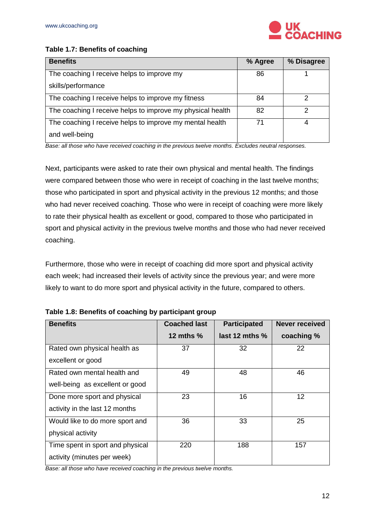

### **Table 1.7: Benefits of coaching**

| <b>Benefits</b>                                            | % Agree | % Disagree |
|------------------------------------------------------------|---------|------------|
| The coaching I receive helps to improve my                 | 86      |            |
| skills/performance                                         |         |            |
| The coaching I receive helps to improve my fitness         | 84      | າ          |
| The coaching I receive helps to improve my physical health | 82      | っ          |
| The coaching I receive helps to improve my mental health   | 71      | 4          |
| and well-being                                             |         |            |

*Base: all those who have received coaching in the previous twelve months. Excludes neutral responses.*

Next, participants were asked to rate their own physical and mental health. The findings were compared between those who were in receipt of coaching in the last twelve months; those who participated in sport and physical activity in the previous 12 months; and those who had never received coaching. Those who were in receipt of coaching were more likely to rate their physical health as excellent or good, compared to those who participated in sport and physical activity in the previous twelve months and those who had never received coaching.

Furthermore, those who were in receipt of coaching did more sport and physical activity each week; had increased their levels of activity since the previous year; and were more likely to want to do more sport and physical activity in the future, compared to others.

| <b>Benefits</b>                  | <b>Coached last</b> | <b>Participated</b> | <b>Never received</b> |
|----------------------------------|---------------------|---------------------|-----------------------|
|                                  | 12 mths $%$         | last 12 mths $%$    | coaching %            |
| Rated own physical health as     | 37                  | 32                  | 22                    |
| excellent or good                |                     |                     |                       |
| Rated own mental health and      | 49                  | 48                  | 46                    |
| well-being as excellent or good  |                     |                     |                       |
| Done more sport and physical     | 23                  | 16                  | 12                    |
| activity in the last 12 months   |                     |                     |                       |
| Would like to do more sport and  | 36                  | 33                  | 25                    |
| physical activity                |                     |                     |                       |
| Time spent in sport and physical | 220                 | 188                 | 157                   |
| activity (minutes per week)      |                     |                     |                       |

**Table 1.8: Benefits of coaching by participant group**

*Base: all those who have received coaching in the previous twelve months.*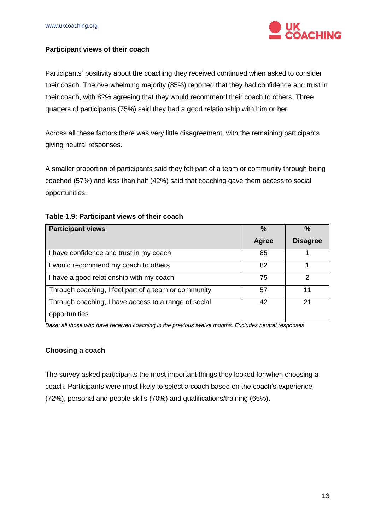

### <span id="page-12-0"></span>**Participant views of their coach**

Participants' positivity about the coaching they received continued when asked to consider their coach. The overwhelming majority (85%) reported that they had confidence and trust in their coach, with 82% agreeing that they would recommend their coach to others. Three quarters of participants (75%) said they had a good relationship with him or her.

Across all these factors there was very little disagreement, with the remaining participants giving neutral responses.

A smaller proportion of participants said they felt part of a team or community through being coached (57%) and less than half (42%) said that coaching gave them access to social opportunities.

| <b>Participant views</b>                             | $\frac{0}{0}$ | $\frac{0}{0}$   |
|------------------------------------------------------|---------------|-----------------|
|                                                      | <b>Agree</b>  | <b>Disagree</b> |
| I have confidence and trust in my coach              | 85            |                 |
| I would recommend my coach to others                 | 82            |                 |
| I have a good relationship with my coach             | 75            | 2               |
| Through coaching, I feel part of a team or community | 57            | 11              |
| Through coaching, I have access to a range of social | 42            | 21              |
| opportunities                                        |               |                 |

#### **Table 1.9: Participant views of their coach**

*Base: all those who have received coaching in the previous twelve months. Excludes neutral responses.*

#### <span id="page-12-1"></span>**Choosing a coach**

The survey asked participants the most important things they looked for when choosing a coach. Participants were most likely to select a coach based on the coach's experience (72%), personal and people skills (70%) and qualifications/training (65%).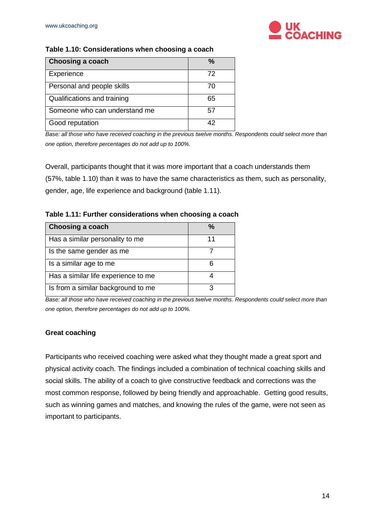

#### **Table 1.10: Considerations when choosing a coach**

| Choosing a coach              | %  |
|-------------------------------|----|
| Experience                    | 72 |
| Personal and people skills    | 70 |
| Qualifications and training   | 65 |
| Someone who can understand me | 57 |
| Good reputation               | 42 |

*Base: all those who have received coaching in the previous twelve months. Respondents could select more than one option, therefore percentages do not add up to 100%.*

Overall, participants thought that it was more important that a coach understands them (57%, table 1.10) than it was to have the same characteristics as them, such as personality, gender, age, life experience and background (table 1.11).

| <b>Choosing a coach</b>             |  |
|-------------------------------------|--|
| Has a similar personality to me     |  |
| Is the same gender as me            |  |
| Is a similar age to me              |  |
| Has a similar life experience to me |  |
| Is from a similar background to me  |  |

*Base: all those who have received coaching in the previous twelve months. Respondents could select more than one option, therefore percentages do not add up to 100%.*

### <span id="page-13-0"></span>**Great coaching**

Participants who received coaching were asked what they thought made a great sport and physical activity coach. The findings included a combination of technical coaching skills and social skills. The ability of a coach to give constructive feedback and corrections was the most common response, followed by being friendly and approachable. Getting good results, such as winning games and matches, and knowing the rules of the game, were not seen as important to participants.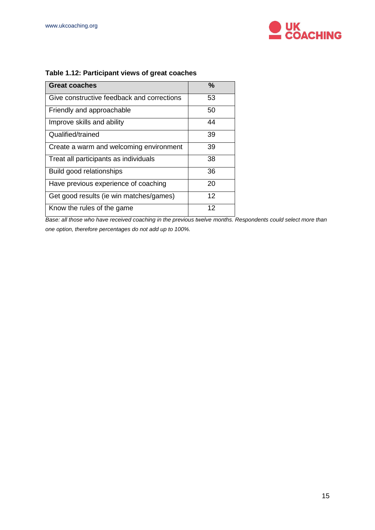

| <b>Great coaches</b><br>%<br>Give constructive feedback and corrections<br>53<br>50<br>Friendly and approachable<br>44<br>Improve skills and ability<br>Qualified/trained<br>39<br>Create a warm and welcoming environment<br>39<br>38<br>Treat all participants as individuals<br>36<br>Build good relationships<br>Have previous experience of coaching<br>20<br>12<br>Get good results (ie win matches/games) |                            |    |
|------------------------------------------------------------------------------------------------------------------------------------------------------------------------------------------------------------------------------------------------------------------------------------------------------------------------------------------------------------------------------------------------------------------|----------------------------|----|
|                                                                                                                                                                                                                                                                                                                                                                                                                  |                            |    |
|                                                                                                                                                                                                                                                                                                                                                                                                                  |                            |    |
|                                                                                                                                                                                                                                                                                                                                                                                                                  |                            |    |
|                                                                                                                                                                                                                                                                                                                                                                                                                  |                            |    |
|                                                                                                                                                                                                                                                                                                                                                                                                                  |                            |    |
|                                                                                                                                                                                                                                                                                                                                                                                                                  |                            |    |
|                                                                                                                                                                                                                                                                                                                                                                                                                  |                            |    |
|                                                                                                                                                                                                                                                                                                                                                                                                                  |                            |    |
|                                                                                                                                                                                                                                                                                                                                                                                                                  |                            |    |
|                                                                                                                                                                                                                                                                                                                                                                                                                  |                            |    |
|                                                                                                                                                                                                                                                                                                                                                                                                                  | Know the rules of the game | 12 |

## **Table 1.12: Participant views of great coaches**

**Base: all those who have received coaching in the previous twelve months. Respondents could select more than** *one option, therefore percentages do not add up to 100%.*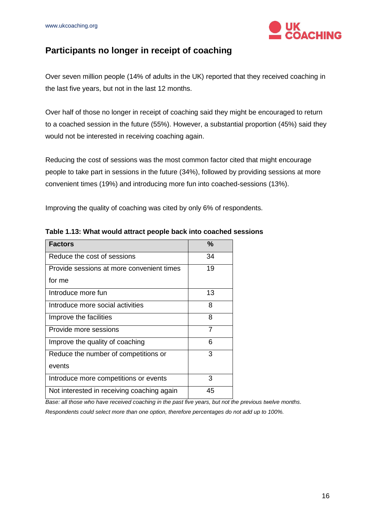

## <span id="page-15-0"></span>**Participants no longer in receipt of coaching**

Over seven million people (14% of adults in the UK) reported that they received coaching in the last five years, but not in the last 12 months.

Over half of those no longer in receipt of coaching said they might be encouraged to return to a coached session in the future (55%). However, a substantial proportion (45%) said they would not be interested in receiving coaching again.

Reducing the cost of sessions was the most common factor cited that might encourage people to take part in sessions in the future (34%), followed by providing sessions at more convenient times (19%) and introducing more fun into coached-sessions (13%).

Improving the quality of coaching was cited by only 6% of respondents.

| <b>Factors</b>                             | %              |
|--------------------------------------------|----------------|
| Reduce the cost of sessions                | 34             |
| Provide sessions at more convenient times  | 19             |
| for me                                     |                |
| Introduce more fun                         | 13             |
| Introduce more social activities           | 8              |
| Improve the facilities                     | 8              |
| Provide more sessions                      | $\overline{7}$ |
| Improve the quality of coaching            | 6              |
| Reduce the number of competitions or       | 3              |
| events                                     |                |
| Introduce more competitions or events      | 3              |
| Not interested in receiving coaching again | 45             |

**Table 1.13: What would attract people back into coached sessions**

*Base: all those who have received coaching in the past five years, but not the previous twelve months. Respondents could select more than one option, therefore percentages do not add up to 100%.*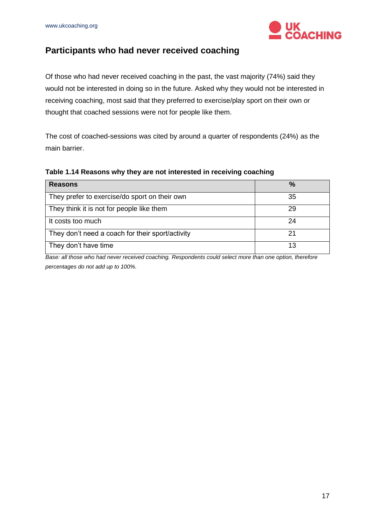

## <span id="page-16-0"></span>**Participants who had never received coaching**

Of those who had never received coaching in the past, the vast majority (74%) said they would not be interested in doing so in the future. Asked why they would not be interested in receiving coaching, most said that they preferred to exercise/play sport on their own or thought that coached sessions were not for people like them.

The cost of coached-sessions was cited by around a quarter of respondents (24%) as the main barrier.

| <b>Reasons</b>                                   | $\%$ |
|--------------------------------------------------|------|
| They prefer to exercise/do sport on their own    | 35   |
| They think it is not for people like them        | 29   |
| It costs too much                                | 24   |
| They don't need a coach for their sport/activity |      |
| They don't have time                             |      |

#### **Table 1.14 Reasons why they are not interested in receiving coaching**

*Base: all those who had never received coaching. Respondents could select more than one option, therefore percentages do not add up to 100%.*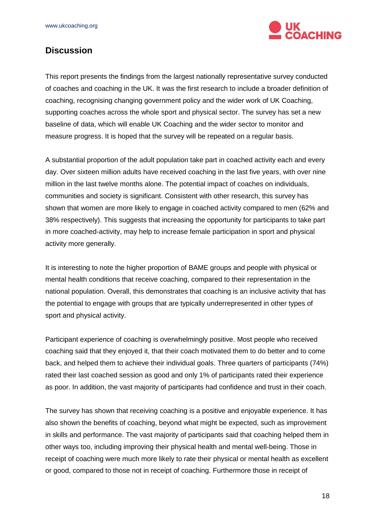

## <span id="page-17-0"></span>**Discussion**

This report presents the findings from the largest nationally representative survey conducted of coaches and coaching in the UK. It was the first research to include a broader definition of coaching, recognising changing government policy and the wider work of UK Coaching, supporting coaches across the whole sport and physical sector. The survey has set a new baseline of data, which will enable UK Coaching and the wider sector to monitor and measure progress. It is hoped that the survey will be repeated on a regular basis.

A substantial proportion of the adult population take part in coached activity each and every day. Over sixteen million adults have received coaching in the last five years, with over nine million in the last twelve months alone. The potential impact of coaches on individuals, communities and society is significant. Consistent with other research, this survey has shown that women are more likely to engage in coached activity compared to men (62% and 38% respectively). This suggests that increasing the opportunity for participants to take part in more coached-activity, may help to increase female participation in sport and physical activity more generally.

It is interesting to note the higher proportion of BAME groups and people with physical or mental health conditions that receive coaching, compared to their representation in the national population. Overall, this demonstrates that coaching is an inclusive activity that has the potential to engage with groups that are typically underrepresented in other types of sport and physical activity.

Participant experience of coaching is overwhelmingly positive. Most people who received coaching said that they enjoyed it, that their coach motivated them to do better and to come back, and helped them to achieve their individual goals. Three quarters of participants (74%) rated their last coached session as good and only 1% of participants rated their experience as poor. In addition, the vast majority of participants had confidence and trust in their coach.

The survey has shown that receiving coaching is a positive and enjoyable experience. It has also shown the benefits of coaching, beyond what might be expected, such as improvement in skills and performance. The vast majority of participants said that coaching helped them in other ways too, including improving their physical health and mental well-being. Those in receipt of coaching were much more likely to rate their physical or mental health as excellent or good, compared to those not in receipt of coaching. Furthermore those in receipt of